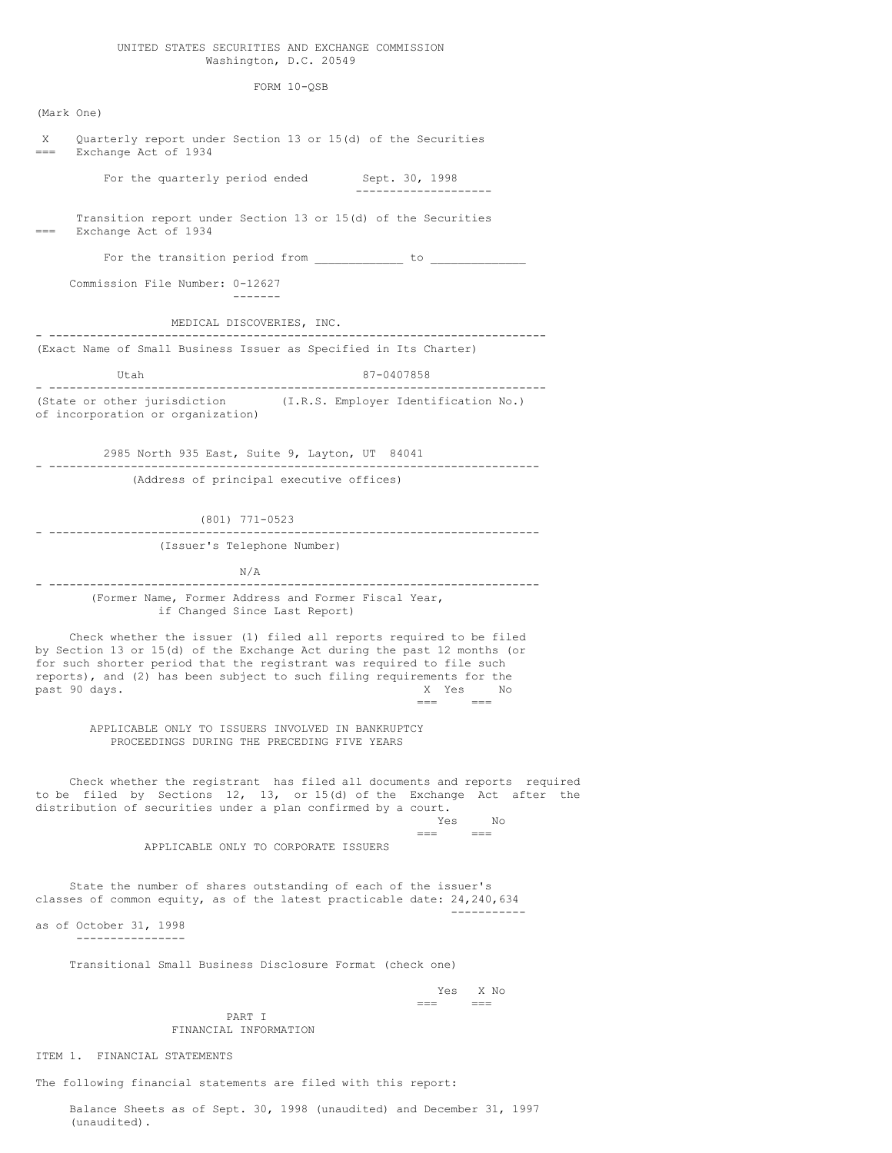## UNITED STATES SECURITIES AND EXCHANGE COMMISSION Washington, D.C. 20549

FORM 10-QSB

(Mark One) X Quarterly report under Section 13 or 15(d) of the Securities Exchange Act of 1934 For the quarterly period ended Sept. 30, 1998 -------------------- Transition report under Section 13 or 15(d) of the Securities Exchange Act of 1934 For the transition period from \_\_\_\_\_\_\_\_\_\_\_\_\_ to \_\_\_\_\_\_\_\_\_\_\_\_\_\_ Commission File Number: 0-12627 ------- MEDICAL DISCOVERIES, INC. - ------------------------------------------------------------------------- (Exact Name of Small Business Issuer as Specified in Its Charter) Utah 87-0407858 - ------------------------------------------------------------------------- (State or other jurisdiction (I.R.S. Employer Identification No.) of incorporation or organization) 2985 North 935 East, Suite 9, Layton, UT 84041 - ------------------------------------------------------------------------ (Address of principal executive offices) (801) 771-0523 - ------------------------------------------------------------------------ (Issuer's Telephone Number) N/A - ------------------------------------------------------------------------ (Former Name, Former Address and Former Fiscal Year, if Changed Since Last Report) Check whether the issuer (1) filed all reports required to be filed by Section 13 or 15(d) of the Exchange Act during the past 12 months (or for such shorter period that the registrant was required to file such reports), and (2) has been subject to such filing requirements for the past 90 days. Notice that the set of the set of the set of the set of the set of the set of the set of the set of the set of the set of the set of the set of the set of the set of the set of the set of the set of the set o  $=$ APPLICABLE ONLY TO ISSUERS INVOLVED IN BANKRUPTCY PROCEEDINGS DURING THE PRECEDING FIVE YEARS Check whether the registrant has filed all documents and reports required to be filed by Sections 12, 13, or 15(d) of the Exchange Act after the distribution of securities under a plan confirmed by a court. Yes No === === APPLICABLE ONLY TO CORPORATE ISSUERS State the number of shares outstanding of each of the issuer's classes of common equity, as of the latest practicable date: 24,240,634 ---------- as of October 31, 1998 ---------------- Transitional Small Business Disclosure Format (check one) Yes X No  $=$ PART I FINANCIAL INFORMATION ITEM 1. FINANCIAL STATEMENTS

The following financial statements are filed with this report:

Balance Sheets as of Sept. 30, 1998 (unaudited) and December 31, 1997 (unaudited).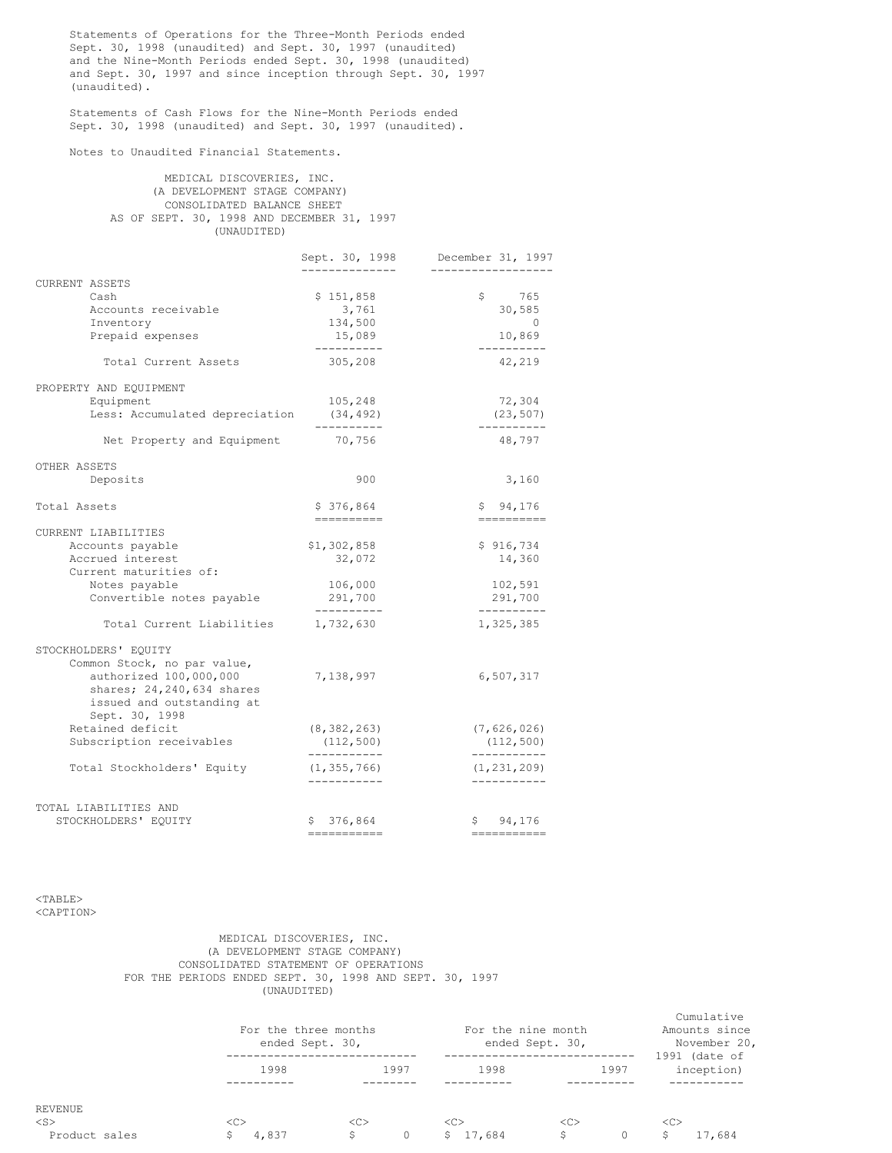Statements of Operations for the Three-Month Periods ended Sept. 30, 1998 (unaudited) and Sept. 30, 1997 (unaudited) and the Nine-Month Periods ended Sept. 30, 1998 (unaudited) and Sept. 30, 1997 and since inception through Sept. 30, 1997 (unaudited).

Statements of Cash Flows for the Nine-Month Periods ended Sept. 30, 1998 (unaudited) and Sept. 30, 1997 (unaudited).

Notes to Unaudited Financial Statements.

## MEDICAL DISCOVERIES, INC. (A DEVELOPMENT STAGE COMPANY) CONSOLIDATED BALANCE SHEET AS OF SEPT. 30, 1998 AND DECEMBER 31, 1997 (UNAUDITED)

|                                                                                                                                                             | Sept. 30, 1998                                            | December 31, 1997                                          |
|-------------------------------------------------------------------------------------------------------------------------------------------------------------|-----------------------------------------------------------|------------------------------------------------------------|
| <b>CURRENT ASSETS</b><br>Cash<br>Accounts receivable<br>Inventory<br>Prepaid expenses                                                                       | \$151,858<br>3,761<br>134,500<br>15,089<br>----------     | \$ 765<br>30,585<br>$\overline{0}$<br>10,869<br>---------- |
| Total Current Assets                                                                                                                                        | 305,208                                                   | 42,219                                                     |
| PROPERTY AND EQUIPMENT<br>Equipment<br>Less: Accumulated depreciation                                                                                       | 105,248<br>(34, 492)                                      | 72,304<br>(23, 507)                                        |
| Net Property and Equipment                                                                                                                                  | ----------<br>70,756                                      | ----------<br>48,797                                       |
| OTHER ASSETS<br>Deposits                                                                                                                                    | 900                                                       | 3,160                                                      |
| Total Assets                                                                                                                                                | \$376,864<br>----------                                   | \$94,176<br>==========                                     |
| CURRENT LIABILITIES<br>Accounts payable<br>Accrued interest<br>Current maturities of:<br>Notes payable<br>Convertible notes payable                         | \$1,302,858<br>32,072<br>106,000<br>291,700<br>---------- | \$916,734<br>14,360<br>102,591<br>291,700<br>----------    |
| Total Current Liabilities                                                                                                                                   | 1,732,630                                                 | 1,325,385                                                  |
| STOCKHOLDERS' EQUITY<br>Common Stock, no par value,<br>authorized 100,000,000<br>shares; 24, 240, 634 shares<br>issued and outstanding at<br>Sept. 30, 1998 | 7,138,997                                                 | 6,507,317                                                  |
| Retained deficit<br>Subscription receivables                                                                                                                | (8, 382, 263)<br>(112, 500)                               | (7,626,026)<br>(112, 500)                                  |
| Total Stockholders' Equity                                                                                                                                  | -----------<br>(1, 355, 766)<br>-----------               | -----------<br>(1, 231, 209)<br>-----------                |
| TOTAL LIABILITIES AND<br>STOCKHOLDERS' EQUITY                                                                                                               | \$376,864<br>===========                                  | \$94,176<br>------------                                   |

<TABLE> <CAPTION>

# MEDICAL DISCOVERIES, INC. (A DEVELOPMENT STAGE COMPANY) CONSOLIDATED STATEMENT OF OPERATIONS FOR THE PERIODS ENDED SEPT. 30, 1998 AND SEPT. 30, 1997 (UNAUDITED)

|                      |       | For the three months<br>ended Sept. 30, |               | For the nine month<br>ended Sept. 30, |                               |  |
|----------------------|-------|-----------------------------------------|---------------|---------------------------------------|-------------------------------|--|
|                      | 1998  | 1997                                    | 1998          | 1997                                  | $1991$ (date of<br>inception) |  |
| REVENUE<br>$<$ S $>$ | <<>   | < <sub></sub>                           | < <sub></sub> | < <sub></sub>                         | <<                            |  |
| Product sales        | 4,837 | S<br>$\circ$                            | 17,684<br>S.  | S.<br>$\Omega$                        | 17,684                        |  |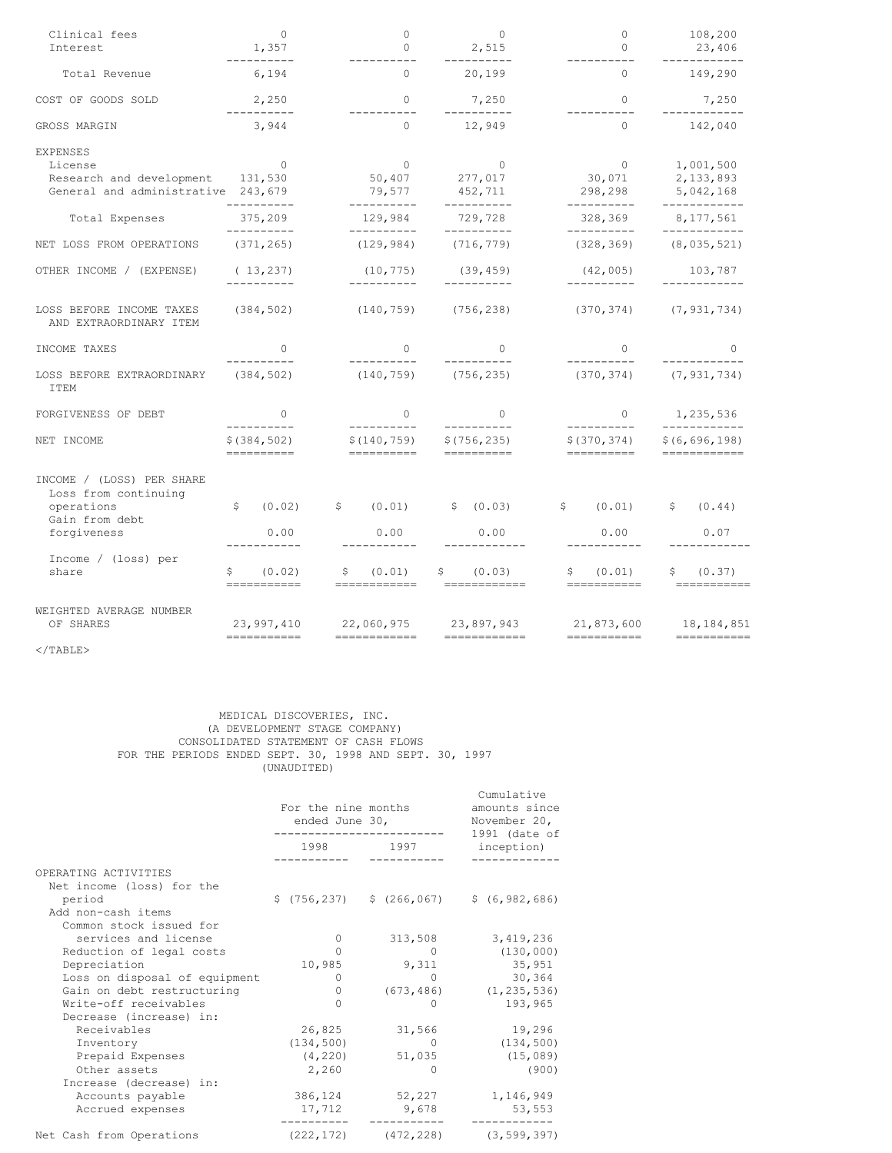| Clinical fees<br>Interest                                                                            | $\overline{0}$<br>1,357                   |                                            | $\mathbf{0}$<br>$\Omega$                |                                       | $\mathbf{0}$<br>2,515                                                              | $\circ$<br>$\bigcirc$                    |                              | 108,200<br>23,406                                |                           |  |
|------------------------------------------------------------------------------------------------------|-------------------------------------------|--------------------------------------------|-----------------------------------------|---------------------------------------|------------------------------------------------------------------------------------|------------------------------------------|------------------------------|--------------------------------------------------|---------------------------|--|
| Total Revenue                                                                                        | ----------<br>6,194                       | ----------<br>$\Omega$                     |                                         |                                       | __________<br>20,199                                                               | $\bigcirc$                               |                              | ___________<br>149,290                           |                           |  |
| COST OF GOODS SOLD                                                                                   | 2,250<br>-----------                      |                                            | $\bigcirc$                              |                                       | 7,250                                                                              |                                          | $\Omega$                     |                                                  | 7,250                     |  |
| GROSS MARGIN                                                                                         | 3,944                                     | $\circ$                                    |                                         |                                       | 12,949                                                                             |                                          | ----------<br>$\circ$        |                                                  | ------------<br>142,040   |  |
| <b>EXPENSES</b><br>License<br>Research and development 131,530<br>General and administrative 243,679 | $\overline{0}$                            |                                            | $\sim$ 0<br>50,407<br>79,577            |                                       | $\circ$<br>277,017<br>452,711                                                      | $\overline{0}$<br>30,071<br>298,298      |                              | 1,001,500<br>2,133,893<br>5,042,168              |                           |  |
| Total Expenses                                                                                       | ----------<br>375,209                     |                                            | ----------<br>129,984                   |                                       | ----------<br>729,728                                                              |                                          | ----------<br>328,369        | ------------<br>8,177,561                        |                           |  |
| NET LOSS FROM OPERATIONS                                                                             | __________<br>(371, 265)                  |                                            | -----------<br>(129, 984)               |                                       | ----------<br>(716, 779)                                                           | -----------<br>(328, 369)                |                              | ____________<br>(8, 035, 521)                    |                           |  |
| OTHER INCOME / (EXPENSE)                                                                             | (13, 237)<br>__________                   |                                            | (10, 775)<br>-----------                |                                       | (39, 459)<br>-----------                                                           | (42, 005)<br>__________                  |                              | 103,787                                          |                           |  |
| LOSS BEFORE INCOME TAXES<br>AND EXTRAORDINARY ITEM                                                   | (384, 502)                                |                                            | $(140, 759)$ $(756, 238)$               |                                       |                                                                                    |                                          |                              | $(370, 374)$ $(7, 931, 734)$                     |                           |  |
| INCOME TAXES                                                                                         | $\Omega$                                  |                                            | $\overline{0}$                          | $\Omega$                              |                                                                                    | $\Omega$                                 |                              | $\Omega$                                         |                           |  |
| LOSS BEFORE EXTRAORDINARY<br><b>ITEM</b>                                                             | (384, 502)                                |                                            | __________<br>$(140, 759)$ $(756, 235)$ |                                       |                                                                                    |                                          | $(370, 374)$ $(7, 931, 734)$ |                                                  |                           |  |
| FORGIVENESS OF DEBT                                                                                  | $\Omega$                                  | $\Omega$                                   |                                         | $\Omega$                              | $\circ$                                                                            |                                          | 1,235,536                    |                                                  |                           |  |
| NET INCOME                                                                                           | ----------<br>\$ (384, 502)<br>========== | -----------<br>\$(140, 759)<br>=========== |                                         | \$(756, 235)<br>===========           |                                                                                    | ----------<br>\$(370,374)<br>=========== |                              | ____________<br>\$ (6, 696, 198)<br>============ |                           |  |
| INCOME / (LOSS) PER SHARE<br>Loss from continuing<br>operations<br>Gain from debt<br>forgiveness     | \$<br>(0.02)<br>0.00                      |                                            | 0.00                                    |                                       | $\hat{\varsigma}$ (0.01) $\hat{\varsigma}$ (0.03) $\hat{\varsigma}$ (0.01)<br>0.00 |                                          | 0.00                         |                                                  | \$ (0.44)<br>0.07         |  |
| Income / (loss) per<br>share                                                                         | (0.02)<br>===========                     | S                                          | (0.01)<br>============                  |                                       | \$ (0.03)<br>eessessesses                                                          |                                          | \$ (0.01)<br>===========     |                                                  | \$ (0.37)<br>============ |  |
| WEIGHTED AVERAGE NUMBER<br>OF SHARES                                                                 | 23,997,410<br>===========                 |                                            | ============                            | 22,060,975 23,897,943<br>============ |                                                                                    | 21,873,600<br>===========                | 18,184,851<br>===========    |                                                  |                           |  |
| $<$ /TABLE>                                                                                          |                                           |                                            |                                         |                                       |                                                                                    |                                          |                              |                                                  |                           |  |

MEDICAL DISCOVERIES, INC. (A DEVELOPMENT STAGE COMPANY) CONSOLIDATED STATEMENT OF CASH FLOWS FOR THE PERIODS ENDED SEPT. 30, 1998 AND SEPT. 30, 1997 (UNAUDITED)

|                               | For the nine months<br>ended June 30, | Cumulative<br>amounts since<br>November 20, |                                              |  |
|-------------------------------|---------------------------------------|---------------------------------------------|----------------------------------------------|--|
|                               | 1998                                  | 1997                                        | $1991$ (date of<br>inception)                |  |
| OPERATING ACTIVITIES          |                                       |                                             |                                              |  |
| Net income (loss) for the     |                                       |                                             |                                              |  |
| period                        |                                       |                                             | $$(756, 237)$ $$(266, 067)$ $$(6, 982, 686)$ |  |
| Add non-cash items            |                                       |                                             |                                              |  |
| Common stock issued for       |                                       |                                             |                                              |  |
| services and license          | $\circ$                               | 313,508                                     | 3,419,236                                    |  |
| Reduction of legal costs      | $\bigcap$                             | $\Omega$                                    | (130, 000)                                   |  |
| Depreciation                  | 10,985                                | 9,311                                       | 35,951                                       |  |
| Loss on disposal of equipment | $\Omega$                              | $\Omega$                                    | 30,364                                       |  |
| Gain on debt restructuring    | $\Omega$                              |                                             | $(673, 486)$ $(1, 235, 536)$                 |  |
| Write-off receivables         | $\Omega$                              | <sup>0</sup>                                | 193,965                                      |  |
| Decrease (increase) in:       |                                       |                                             |                                              |  |
| Receivables                   | 26,825                                | 31,566                                      | 19,296                                       |  |
| Inventory                     | (134, 500)                            | $\Omega$                                    | (134, 500)                                   |  |
| Prepaid Expenses              | (4, 220)                              | 51,035                                      | (15, 089)                                    |  |
| Other assets                  | 2,260                                 | $\Omega$                                    | (900)                                        |  |
| Increase (decrease) in:       |                                       |                                             |                                              |  |
| Accounts payable              |                                       | 386,124 52,227                              | 1,146,949                                    |  |
| Accrued expenses              | 17,712                                | 9,678                                       | 53,553                                       |  |
| Net Cash from Operations      | (222, 172)                            | (472, 228)                                  | (3, 599, 397)                                |  |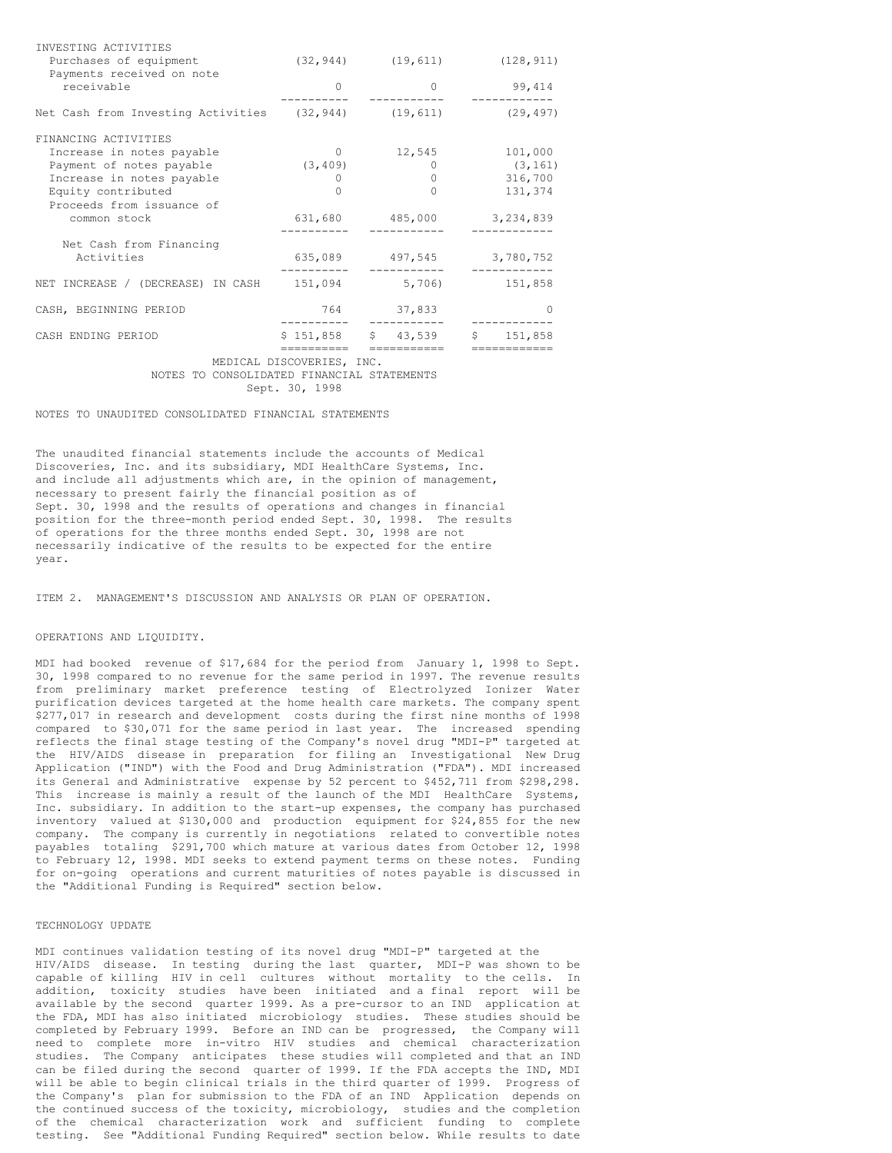| INVESTING ACTIVITIES                                 |           |                       |            |
|------------------------------------------------------|-----------|-----------------------|------------|
| Purchases of equipment                               | (32, 944) | (19, 611)             | (128, 911) |
| Payments received on note                            |           |                       |            |
| receivable                                           | ∩         | $\left( \right)$      | 99,414     |
|                                                      |           |                       |            |
| Net Cash from Investing Activities (32,944) (19,611) |           |                       | (29, 497)  |
| FINANCING ACTIVITIES                                 |           |                       |            |
| Increase in notes payable                            | $\Omega$  | 12,545                | 101,000    |
| Payment of notes payable                             | (3, 409)  | $\left( \right)$      | (3, 161)   |
| Increase in notes payable                            | $^{()}$   | 0                     | 316,700    |
| Equity contributed                                   |           | $\cap$                | 131,374    |
| Proceeds from issuance of                            |           |                       |            |
| common stock                                         | 631,680   | 485,000               | 3,234,839  |
| Net Cash from Financing                              |           |                       |            |
| Activities                                           | 635,089   | 497,545               | 3,780,752  |
| NET INCREASE / (DECREASE) IN CASH                    | 151,094   | 5,706)                | 151,858    |
| CASH, BEGINNING PERIOD                               | 764       | 37,833                |            |
| CASH ENDING PERIOD                                   | \$151,858 | \$43,539<br>========= | \$151,858  |
|                                                      |           |                       |            |

MEDICAL DISCOVERIES, INC. NOTES TO CONSOLIDATED FINANCIAL STATEMENTS Sept. 30, 1998

NOTES TO UNAUDITED CONSOLIDATED FINANCIAL STATEMENTS

The unaudited financial statements include the accounts of Medical Discoveries, Inc. and its subsidiary, MDI HealthCare Systems, Inc. and include all adjustments which are, in the opinion of management, necessary to present fairly the financial position as of Sept. 30, 1998 and the results of operations and changes in financial position for the three-month period ended Sept. 30, 1998. The results of operations for the three months ended Sept. 30, 1998 are not necessarily indicative of the results to be expected for the entire year.

ITEM 2. MANAGEMENT'S DISCUSSION AND ANALYSIS OR PLAN OF OPERATION.

#### OPERATIONS AND LIQUIDITY.

MDI had booked revenue of \$17,684 for the period from January 1, 1998 to Sept. 30, 1998 compared to no revenue for the same period in 1997. The revenue results from preliminary market preference testing of Electrolyzed Ionizer Water purification devices targeted at the home health care markets. The company spent \$277,017 in research and development costs during the first nine months of 1998 compared to \$30,071 for the same period in last year. The increased spending reflects the final stage testing of the Company's novel drug "MDI-P" targeted at the HIV/AIDS disease in preparation for filing an Investigational New Drug Application ("IND") with the Food and Drug Administration ("FDA"). MDI increased its General and Administrative expense by 52 percent to \$452,711 from \$298,298. This increase is mainly a result of the launch of the MDI HealthCare Systems, Inc. subsidiary. In addition to the start-up expenses, the company has purchased inventory valued at \$130,000 and production equipment for \$24,855 for the new company. The company is currently in negotiations related to convertible notes payables totaling \$291,700 which mature at various dates from October 12, 1998 to February 12, 1998. MDI seeks to extend payment terms on these notes. Funding for on-going operations and current maturities of notes payable is discussed in the "Additional Funding is Required" section below.

#### TECHNOLOGY UPDATE

MDI continues validation testing of its novel drug "MDI-P" targeted at the HIV/AIDS disease. In testing during the last quarter, MDI-P was shown to be capable of killing HIV in cell cultures without mortality to the cells. In addition, toxicity studies have been initiated and a final report will be available by the second quarter 1999. As a pre-cursor to an IND application at the FDA, MDI has also initiated microbiology studies. These studies should be completed by February 1999. Before an IND can be progressed, the Company will need to complete more in-vitro HIV studies and chemical characterization studies. The Company anticipates these studies will completed and that an IND can be filed during the second quarter of 1999. If the FDA accepts the IND, MDI will be able to begin clinical trials in the third quarter of 1999. Progress of the Company's plan for submission to the FDA of an IND Application depends on the continued success of the toxicity, microbiology, studies and the completion of the chemical characterization work and sufficient funding to complete testing. See "Additional Funding Required" section below. While results to date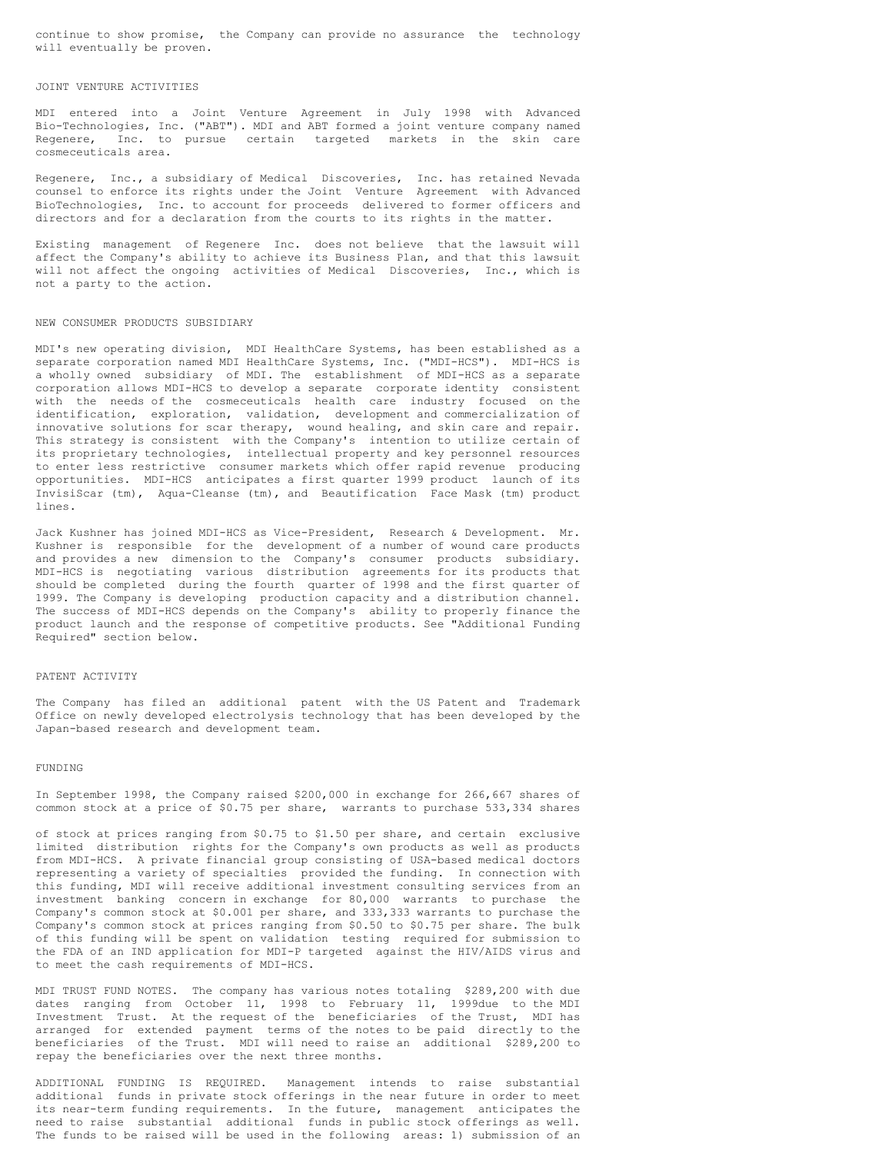continue to show promise, the Company can provide no assurance the technology will eventually be proven.

## JOINT VENTURE ACTIVITIES

MDI entered into a Joint Venture Agreement in July 1998 with Advanced Bio-Technologies, Inc. ("ABT"). MDI and ABT formed a joint venture company named Regenere, Inc. to pursue certain targeted markets in the skin care cosmeceuticals area.

Regenere, Inc., a subsidiary of Medical Discoveries, Inc. has retained Nevada counsel to enforce its rights under the Joint Venture Agreement with Advanced BioTechnologies, Inc. to account for proceeds delivered to former officers and directors and for a declaration from the courts to its rights in the matter.

Existing management of Regenere Inc. does not believe that the lawsuit will affect the Company's ability to achieve its Business Plan, and that this lawsuit will not affect the ongoing activities of Medical Discoveries, Inc., which is not a party to the action.

#### NEW CONSUMER PRODUCTS SUBSIDIARY

MDI's new operating division, MDI HealthCare Systems, has been established as a separate corporation named MDI HealthCare Systems, Inc. ("MDI-HCS"). MDI-HCS is a wholly owned subsidiary of MDI. The establishment of MDI-HCS as a separate corporation allows MDI-HCS to develop a separate corporate identity consistent with the needs of the cosmeceuticals health care industry focused on the identification, exploration, validation, development and commercialization of innovative solutions for scar therapy, wound healing, and skin care and repair. This strategy is consistent with the Company's intention to utilize certain of its proprietary technologies, intellectual property and key personnel resources to enter less restrictive consumer markets which offer rapid revenue producing opportunities. MDI-HCS anticipates a first quarter 1999 product launch of its InvisiScar (tm), Aqua-Cleanse (tm), and Beautification Face Mask (tm) product lines.

Jack Kushner has joined MDI-HCS as Vice-President, Research & Development. Mr. Kushner is responsible for the development of a number of wound care products and provides a new dimension to the Company's consumer products subsidiary. MDI-HCS is negotiating various distribution agreements for its products that should be completed during the fourth quarter of 1998 and the first quarter of 1999. The Company is developing production capacity and a distribution channel. The success of MDI-HCS depends on the Company's ability to properly finance the product launch and the response of competitive products. See "Additional Funding Required" section below.

#### PATENT ACTIVITY

The Company has filed an additional patent with the US Patent and Trademark Office on newly developed electrolysis technology that has been developed by the Japan-based research and development team.

#### FUNDING

In September 1998, the Company raised \$200,000 in exchange for 266,667 shares of common stock at a price of \$0.75 per share, warrants to purchase 533,334 shares

of stock at prices ranging from \$0.75 to \$1.50 per share, and certain exclusive limited distribution rights for the Company's own products as well as products from MDI-HCS. A private financial group consisting of USA-based medical doctors representing a variety of specialties provided the funding. In connection with this funding, MDI will receive additional investment consulting services from an investment banking concern in exchange for 80,000 warrants to purchase the Company's common stock at \$0.001 per share, and 333,333 warrants to purchase the Company's common stock at prices ranging from \$0.50 to \$0.75 per share. The bulk of this funding will be spent on validation testing required for submission to the FDA of an IND application for MDI-P targeted against the HIV/AIDS virus and to meet the cash requirements of MDI-HCS.

MDI TRUST FUND NOTES. The company has various notes totaling \$289,200 with due dates ranging from October 11, 1998 to February 11, 1999due to the MDI Investment Trust. At the request of the beneficiaries of the Trust, MDI has arranged for extended payment terms of the notes to be paid directly to the beneficiaries of the Trust. MDI will need to raise an additional \$289,200 to repay the beneficiaries over the next three months.

ADDITIONAL FUNDING IS REQUIRED. Management intends to raise substantial additional funds in private stock offerings in the near future in order to meet its near-term funding requirements. In the future, management anticipates the need to raise substantial additional funds in public stock offerings as well. The funds to be raised will be used in the following areas: 1) submission of an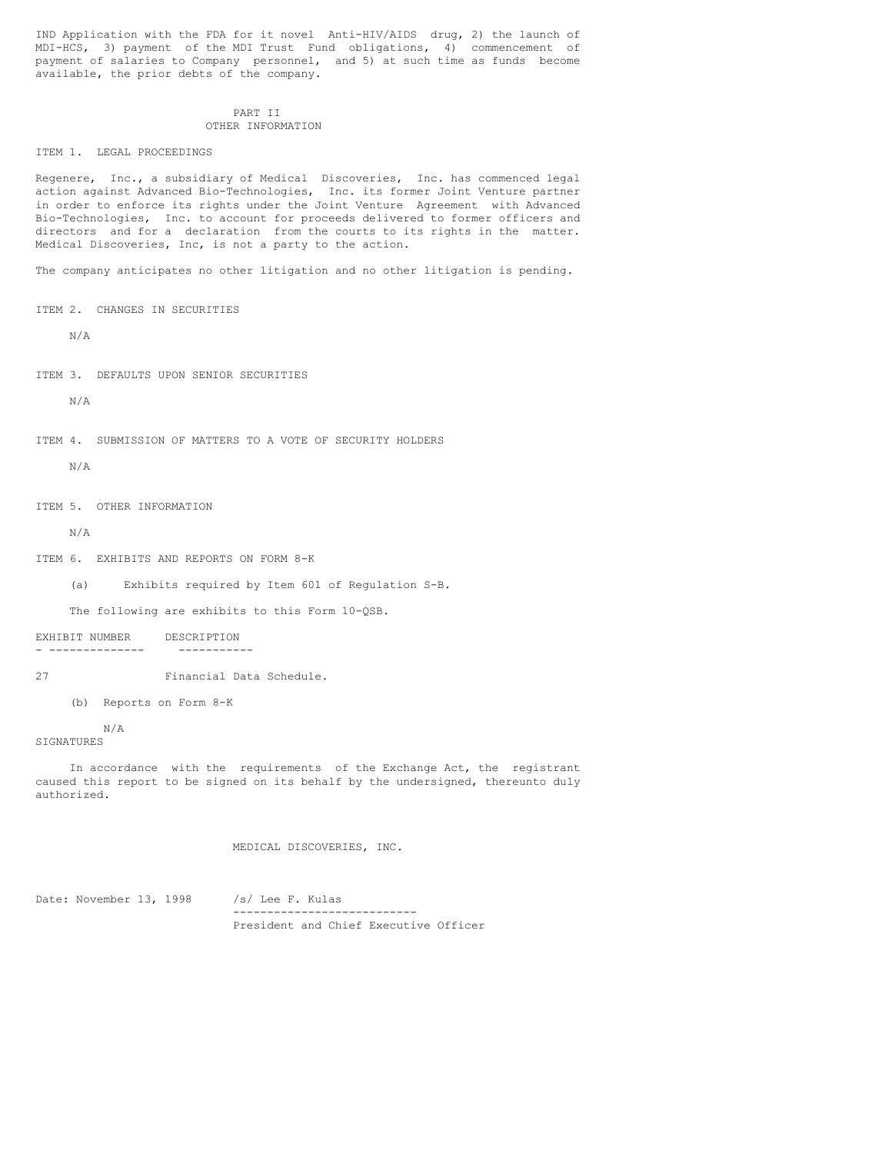IND Application with the FDA for it novel Anti-HIV/AIDS drug, 2) the launch of MDI-HCS, 3) payment of the MDI Trust Fund obligations, 4) commencement of payment of salaries to Company personnel, and 5) at such time as funds become available, the prior debts of the company.

### PART II OTHER INFORMATION

ITEM 1. LEGAL PROCEEDINGS

Regenere, Inc., a subsidiary of Medical Discoveries, Inc. has commenced legal action against Advanced Bio-Technologies, Inc. its former Joint Venture partner in order to enforce its rights under the Joint Venture Agreement with Advanced Bio-Technologies, Inc. to account for proceeds delivered to former officers and directors and for a declaration from the courts to its rights in the matter. Medical Discoveries, Inc, is not a party to the action.

The company anticipates no other litigation and no other litigation is pending.

ITEM 2. CHANGES IN SECURITIES

N/A

ITEM 3. DEFAULTS UPON SENIOR SECURITIES

N/A

```
ITEM 4. SUBMISSION OF MATTERS TO A VOTE OF SECURITY HOLDERS
```
N/A

ITEM 5. OTHER INFORMATION

N/A

ITEM 6. EXHIBITS AND REPORTS ON FORM 8-K

(a) Exhibits required by Item 601 of Regulation S-B.

The following are exhibits to this Form 10-QSB.

EXHIBIT NUMBER DESCRIPTION - -------------- -----------

27 Financial Data Schedule.

(b) Reports on Form 8-K

N/A SIGNATURES

In accordance with the requirements of the Exchange Act, the registrant caused this report to be signed on its behalf by the undersigned, thereunto duly authorized.

MEDICAL DISCOVERIES, INC.

Date: November 13, 1998 /s/ Lee F. Kulas --------------------------- President and Chief Executive Officer